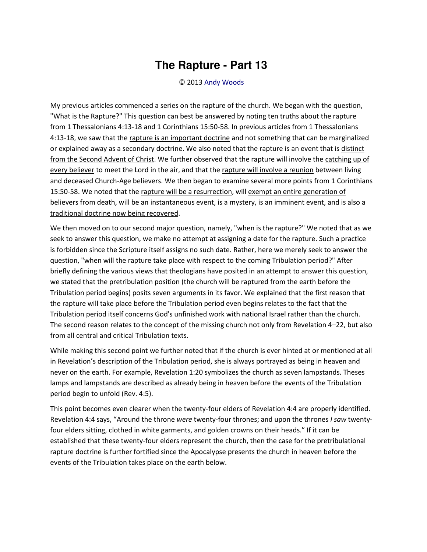## **The Rapture - Part 13**

## © 2013 [Andy Woods](http://www.spiritandtruth.org/id/aw.htm)

My previous articles commenced a series on the rapture of the church. We began with the question, "What is the Rapture?" This question can best be answered by noting ten truths about the rapture from 1 Thessalonians 4:13-18 and 1 Corinthians 15:50-58. In previous articles from 1 Thessalonians 4:13-18, we saw that th[e rapture is an important doctrine](http://www.bibleprophecyblog.com/2012/02/rapture-part-1.html) and not something that can be marginalized or explained away as a secondary doctrine. We also noted that the rapture is an event that is distinct [from the Second Advent of Christ.](http://www.bibleprophecyblog.com/2012/03/rapture-part-2.html) We further observed that the rapture will involve the [catching up of](http://www.bibleprophecyblog.com/2012/04/rapture-part-3.html) [every believer t](http://www.bibleprophecyblog.com/2012/04/rapture-part-3.html)o meet the Lord in the air, and that the [rapture will involve a reunion](http://www.bibleprophecyblog.com/2012/05/rapture-part-4.html) between living and deceased Church-Age believers. We then began to examine several more points from 1 Corinthians 15:50-58. We noted that the [rapture will be a resurrection,](http://www.bibleprophecyblog.com/2012/06/rapture-part-5.html) will exempt an entire generation of [believers from death,](http://www.bibleprophecyblog.com/2012/07/the-rapture-part-6.html) will be a[n instantaneous event,](http://www.bibleprophecyblog.com/2012/08/the-rapture-part-7.html) is a [mystery,](http://www.bibleprophecyblog.com/2012/12/the-rapture-part-8.html) is a[n imminent event,](http://www.bibleprophecyblog.com/2013/01/the-rapture-part-9.html) and is also a [traditional doctrine now being recovered.](http://www.bibleprophecyblog.com/2013/02/the-rapture-part-10.html)

We then moved on to our second major question, namely, "when is the rapture?" We noted that as we seek to answer this question, we make no attempt at assigning a date for the rapture. Such a practice is forbidden since the Scripture itself assigns no such date. Rather, here we merely seek to answer the question, "when will the rapture take place with respect to the coming Tribulation period?" After briefly defining the various views that theologians have posited in an attempt to answer this question, we stated that the pretribulation position (the church will be raptured from the earth before the Tribulation period begins) posits seven arguments in its favor. We explained that the first reason that the rapture will take place before the Tribulation period even begins relates to the fact that the Tribulation period itself concerns God's unfinished work with national Israel rather than the church. The second reason relates to the concept of the missing church not only from Revelation 4–22, but also from all central and critical Tribulation texts.

While making this second point we further noted that if the church is ever hinted at or mentioned at all in Revelation's description of the Tribulation period, she is always portrayed as being in heaven and never on the earth. For example, Revelation 1:20 symbolizes the church as seven lampstands. Theses lamps and lampstands are described as already being in heaven before the events of the Tribulation period begin to unfold (Rev. 4:5).

This point becomes even clearer when the twenty-four elders of Revelation 4:4 are properly identified. Revelation 4:4 says, "Around the throne *were* twenty-four thrones; and upon the thrones *I saw* twentyfour elders sitting, clothed in white garments, and golden crowns on their heads.<sup>*"*</sup> If it can be established that these twenty-four elders represent the church, then the case for the pretribulational rapture doctrine is further fortified since the Apocalypse presents the church in heaven before the events of the Tribulation takes place on the earth below.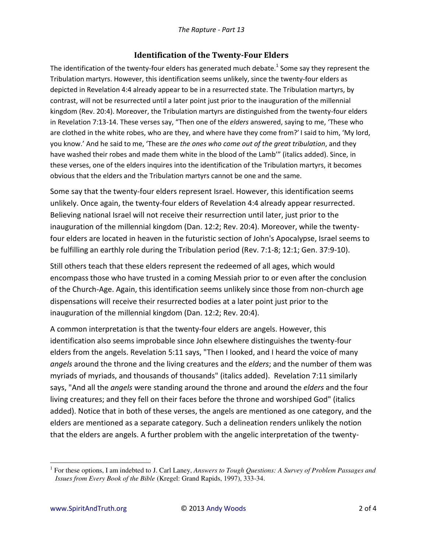## **Identification of the Twenty-Four Elders**

The identification of the twenty-four elders has generated much debate.<sup>1</sup> Some say they represent the Tribulation martyrs. However, this identification seems unlikely, since the twenty-four elders as depicted in Revelation 4:4 already appear to be in a resurrected state. The Tribulation martyrs, by contrast, will not be resurrected until a later point just prior to the inauguration of the millennial kingdom (Rev. 20:4). Moreover, the Tribulation martyrs are distinguished from the twenty-four elders in Revelation 7:13-14. These verses say, "Then one of the *elders* answered, saying to me, 'These who are clothed in the white robes, who are they, and where have they come from?' I said to him, 'My lord, you know.' And he said to me, 'These are *the ones who come out of the great tribulation*, and they have washed their robes and made them white in the blood of the Lamb" (italics added). Since, in these verses, one of the elders inquires into the identification of the Tribulation martyrs, it becomes obvious that the elders and the Tribulation martyrs cannot be one and the same.

Some say that the twenty-four elders represent Israel. However, this identification seems unlikely. Once again, the twenty-four elders of Revelation 4:4 already appear resurrected. Believing national Israel will not receive their resurrection until later, just prior to the inauguration of the millennial kingdom (Dan. 12:2; Rev. 20:4). Moreover, while the twentyfour elders are located in heaven in the futuristic section of John's Apocalypse, Israel seems to be fulfilling an earthly role during the Tribulation period (Rev. 7:1-8; 12:1; Gen. 37:9-10).

Still others teach that these elders represent the redeemed of all ages, which would encompass those who have trusted in a coming Messiah prior to or even after the conclusion of the Church-Age. Again, this identification seems unlikely since those from non-church age dispensations will receive their resurrected bodies at a later point just prior to the inauguration of the millennial kingdom (Dan. 12:2; Rev. 20:4).

A common interpretation is that the twenty-four elders are angels. However, this identification also seems improbable since John elsewhere distinguishes the twenty-four elders from the angels. Revelation 5:11 says, "Then I looked, and I heard the voice of many *angels* around the throne and the living creatures and the *elders*; and the number of them was myriads of myriads, and thousands of thousands" (italics added). Revelation 7:11 similarly says, "And all the *angels* were standing around the throne and around the *elders* and the four living creatures; and they fell on their faces before the throne and worshiped God" (italics added). Notice that in both of these verses, the angels are mentioned as one category, and the elders are mentioned as a separate category. Such a delineation renders unlikely the notion that the elders are angels. A further problem with the angelic interpretation of the twenty-

 $\overline{\phantom{0}}$ 

<sup>1</sup> For these options, I am indebted to J. Carl Laney, *Answers to Tough Questions: A Survey of Problem Passages and Issues from Every Book of the Bible* (Kregel: Grand Rapids, 1997), 333-34.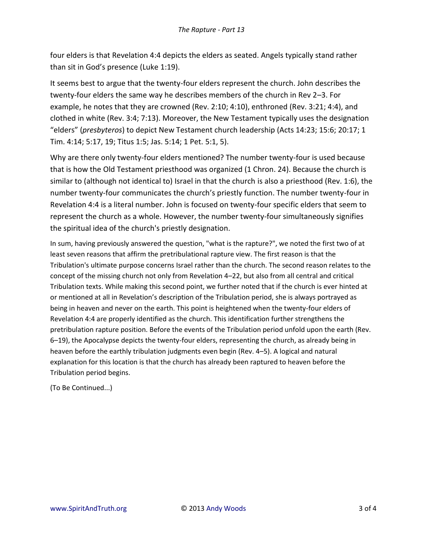four elders is that Revelation 4:4 depicts the elders as seated. Angels typically stand rather than sit in God's presence (Luke 1:19).

It seems best to argue that the twenty-four elders represent the church. John describes the twenty-four elders the same way he describes members of the church in Rev 2–3. For example, he notes that they are crowned (Rev. 2:10; 4:10), enthroned (Rev. 3:21; 4:4), and clothed in white (Rev. 3:4; 7:13). Moreover, the New Testament typically uses the designation ͞elders͟ ;*presbyteros*) to depict New Testament church leadership (Acts 14:23; 15:6; 20:17; 1 Tim. 4:14; 5:17, 19; Titus 1:5; Jas. 5:14; 1 Pet. 5:1, 5).

Why are there only twenty-four elders mentioned? The number twenty-four is used because that is how the Old Testament priesthood was organized (1 Chron. 24). Because the church is similar to (although not identical to) Israel in that the church is also a priesthood (Rev. 1:6), the number twenty-four communicates the church's priestly function. The number twenty-four in Revelation 4:4 is a literal number. John is focused on twenty-four specific elders that seem to represent the church as a whole. However, the number twenty-four simultaneously signifies the spiritual idea of the church's priestly designation.

In sum, having previously answered the question, "what is the rapture?", we noted the first two of at least seven reasons that affirm the pretribulational rapture view. The first reason is that the Tribulation's ultimate purpose concerns Israel rather than the church. The second reason relates to the concept of the missing church not only from Revelation 4–22, but also from all central and critical Tribulation texts. While making this second point, we further noted that if the church is ever hinted at or mentioned at all in Revelation's description of the Tribulation period, she is always portrayed as being in heaven and never on the earth. This point is heightened when the twenty-four elders of Revelation 4:4 are properly identified as the church. This identification further strengthens the pretribulation rapture position. Before the events of the Tribulation period unfold upon the earth (Rev. 6–19), the Apocalypse depicts the twenty-four elders, representing the church, as already being in heaven before the earthly tribulation judgments even begin (Rev. 4–5). A logical and natural explanation for this location is that the church has already been raptured to heaven before the Tribulation period begins.

(To Be Continued...)